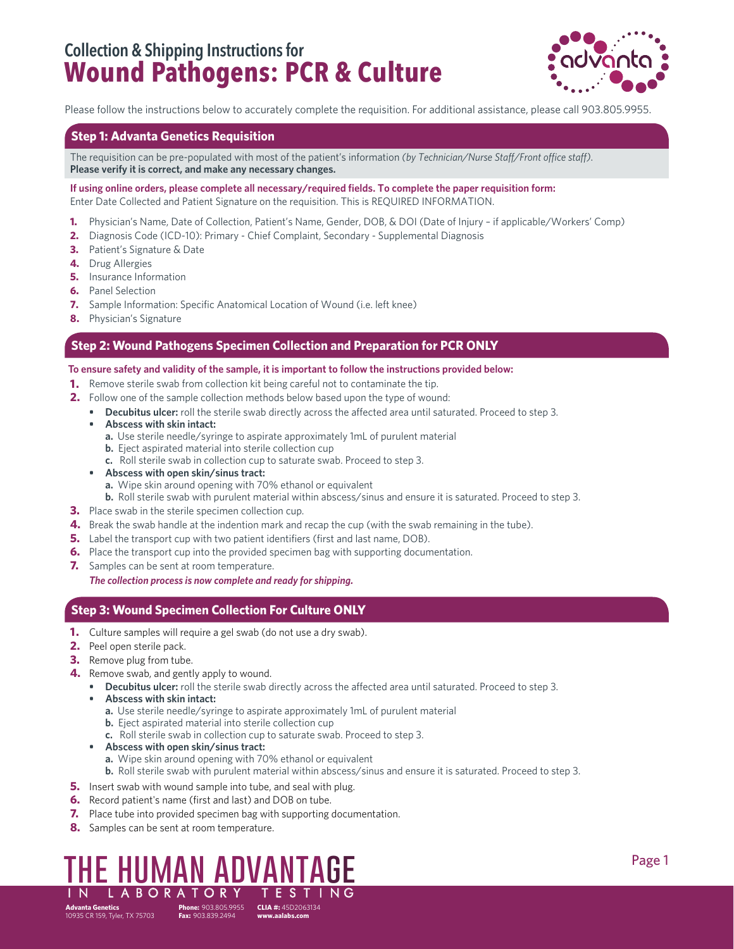## **Collection & Shipping Instructions for Wound Pathogens: PCR & Culture**



Please follow the instructions below to accurately complete the requisition. For additional assistance, please call 903.805.9955.

#### **Step 1: Advanta Genetics Requisition**

The requisition can be pre-populated with most of the patient's information *(by Technician/Nurse Staff/Front office staff)*. **Please verify it is correct, and make any necessary changes.** 

**If using online orders, please complete all necessary/required fields. To complete the paper requisition form:** Enter Date Collected and Patient Signature on the requisition. This is REQUIRED INFORMATION.

- **1.** Physician's Name, Date of Collection, Patient's Name, Gender, DOB, & DOI (Date of Injury if applicable/Workers' Comp)
- **2.** Diagnosis Code (ICD-10): Primary Chief Complaint, Secondary Supplemental Diagnosis
- **3.** Patient's Signature & Date
- **4.** Drug Allergies
- **5.** Insurance Information
- **6.** Panel Selection
- **7.** Sample Information: Specific Anatomical Location of Wound (i.e. left knee)
- **8.** Physician's Signature

#### **Step 2: Wound Pathogens Specimen Collection and Preparation for PCR ONLY**

#### **To ensure safety and validity of the sample, it is important to follow the instructions provided below:**

- **1.** Remove sterile swab from collection kit being careful not to contaminate the tip.
- **2.** Follow one of the sample collection methods below based upon the type of wound:
	- **• Decubitus ulcer:** roll the sterile swab directly across the affected area until saturated. Proceed to step 3.
	- **• Abscess with skin intact:**
		- **a.** Use sterile needle/syringe to aspirate approximately 1mL of purulent material
		- **b.** Eject aspirated material into sterile collection cup
		- **c.** Roll sterile swab in collection cup to saturate swab. Proceed to step 3.
	- **• Abscess with open skin/sinus tract:**
		- **a.** Wipe skin around opening with 70% ethanol or equivalent
		- **b.** Roll sterile swab with purulent material within abscess/sinus and ensure it is saturated. Proceed to step 3.
- **3.** Place swab in the sterile specimen collection cup.
- **4.** Break the swab handle at the indention mark and recap the cup (with the swab remaining in the tube).
- **5.** Label the transport cup with two patient identifiers (first and last name, DOB).
- **6.** Place the transport cup into the provided specimen bag with supporting documentation.
- **7.** Samples can be sent at room temperature.

*The collection process is now complete and ready for shipping.*

### **Step 3: Wound Specimen Collection For Culture ONLY**

- **1.** Culture samples will require a gel swab (do not use a dry swab).
- **2.** Peel open sterile pack.
- **3.** Remove plug from tube.
- **4.** Remove swab, and gently apply to wound.
	- **• Decubitus ulcer:** roll the sterile swab directly across the affected area until saturated. Proceed to step 3.
	- **• Abscess with skin intact:**
		- **a.** Use sterile needle/syringe to aspirate approximately 1mL of purulent material
		- **b.** Eject aspirated material into sterile collection cup
		- **c.** Roll sterile swab in collection cup to saturate swab. Proceed to step 3.
	- **• Abscess with open skin/sinus tract:**
		- **a.** Wipe skin around opening with 70% ethanol or equivalent
	- **b.** Roll sterile swab with purulent material within abscess/sinus and ensure it is saturated. Proceed to step 3.
- **5.** Insert swab with wound sample into tube, and seal with plug.
- **6.** Record patient's name (first and last) and DOB on tube.
- **7.** Place tube into provided specimen bag with supporting documentation.
- **8.** Samples can be sent at room temperature.

### **the human advantage**  IN LABORATORY TEST

**Fax:**  903.839.2494

**Phone:**  903.805.9955 **CLIA #:** 45D2063134 **www.aalabs.com**